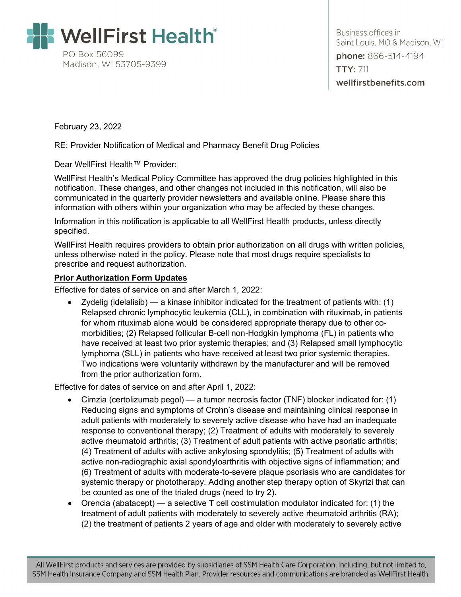

Business offices in Saint Louis, MO & Madison, WI phone: 866-514-4194 **TTY: 711** wellfirstbenefits.com

February 23, 2022

RE: Provider Notification of Medical and Pharmacy Benefit Drug Policies

Dear WellFirst Health™ Provider:

WellFirst Health's Medical Policy Committee has approved the drug policies highlighted in this notification. These changes, and other changes not included in this notification, will also be communicated in the quarterly provider newsletters and available online. Please share this information with others within your organization who may be affected by these changes.

Information in this notification is applicable to all WellFirst Health products, unless directly specified.

WellFirst Health requires providers to obtain prior authorization on all drugs with written policies, unless otherwise noted in the policy. Please note that most drugs require specialists to prescribe and request authorization.

#### **Prior Authorization Form Updates**

Effective for dates of service on and after March 1, 2022:

• Zydelig (idelalisib) — a kinase inhibitor indicated for the treatment of patients with: (1) Relapsed chronic lymphocytic leukemia (CLL), in combination with rituximab, in patients for whom rituximab alone would be considered appropriate therapy due to other comorbidities; (2) Relapsed follicular B-cell non-Hodgkin lymphoma (FL) in patients who have received at least two prior systemic therapies; and (3) Relapsed small lymphocytic lymphoma (SLL) in patients who have received at least two prior systemic therapies. Two indications were voluntarily withdrawn by the manufacturer and will be removed from the prior authorization form.

Effective for dates of service on and after April 1, 2022:

- Cimzia (certolizumab pegol) a tumor necrosis factor (TNF) blocker indicated for: (1) Reducing signs and symptoms of Crohn's disease and maintaining clinical response in adult patients with moderately to severely active disease who have had an inadequate response to conventional therapy; (2) Treatment of adults with moderately to severely active rheumatoid arthritis; (3) Treatment of adult patients with active psoriatic arthritis; (4) Treatment of adults with active ankylosing spondylitis; (5) Treatment of adults with active non-radiographic axial spondyloarthritis with objective signs of inflammation; and (6) Treatment of adults with moderate-to-severe plaque psoriasis who are candidates for systemic therapy or phototherapy. Adding another step therapy option of Skyrizi that can be counted as one of the trialed drugs (need to try 2).
- Orencia (abatacept) a selective T cell costimulation modulator indicated for: (1) the treatment of adult patients with moderately to severely active rheumatoid arthritis (RA); (2) the treatment of patients 2 years of age and older with moderately to severely active

All WellFirst products and services are provided by subsidiaries of SSM Health Care Corporation, including, but not limited to, SSM Health Insurance Company and SSM Health Plan. Provider resources and communications are branded as WellFirst Health.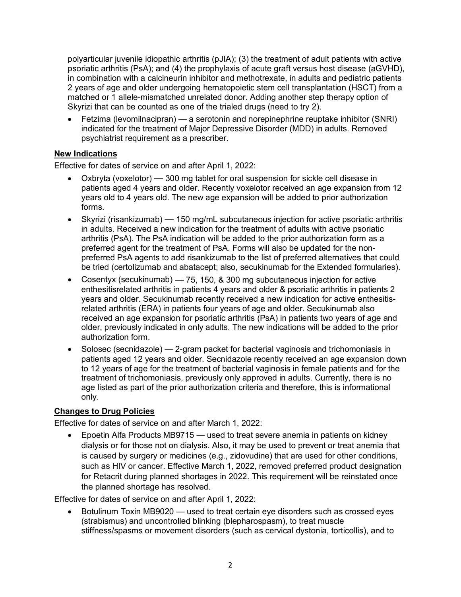polyarticular juvenile idiopathic arthritis (pJIA); (3) the treatment of adult patients with active psoriatic arthritis (PsA); and (4) the prophylaxis of acute graft versus host disease (aGVHD), in combination with a calcineurin inhibitor and methotrexate, in adults and pediatric patients 2 years of age and older undergoing hematopoietic stem cell transplantation (HSCT) from a matched or 1 allele-mismatched unrelated donor. Adding another step therapy option of Skyrizi that can be counted as one of the trialed drugs (need to try 2).

• Fetzima (levomilnacipran) — a serotonin and norepinephrine reuptake inhibitor (SNRI) indicated for the treatment of Major Depressive Disorder (MDD) in adults. Removed psychiatrist requirement as a prescriber.

# **New Indications**

Effective for dates of service on and after April 1, 2022:

- Oxbryta (voxelotor) 300 mg tablet for oral suspension for sickle cell disease in patients aged 4 years and older. Recently voxelotor received an age expansion from 12 years old to 4 years old. The new age expansion will be added to prior authorization forms.
- Skyrizi (risankizumab) 150 mg/mL subcutaneous injection for active psoriatic arthritis in adults. Received a new indication for the treatment of adults with active psoriatic arthritis (PsA). The PsA indication will be added to the prior authorization form as a preferred agent for the treatment of PsA. Forms will also be updated for the nonpreferred PsA agents to add risankizumab to the list of preferred alternatives that could be tried (certolizumab and abatacept; also, secukinumab for the Extended formularies).
- Cosentyx (secukinumab) 75, 150, & 300 mg subcutaneous injection for active enthesitisrelated arthritis in patients 4 years and older & psoriatic arthritis in patients 2 years and older. Secukinumab recently received a new indication for active enthesitisrelated arthritis (ERA) in patients four years of age and older. Secukinumab also received an age expansion for psoriatic arthritis (PsA) in patients two years of age and older, previously indicated in only adults. The new indications will be added to the prior authorization form.
- Solosec (secnidazole) 2-gram packet for bacterial vaginosis and trichomoniasis in patients aged 12 years and older. Secnidazole recently received an age expansion down to 12 years of age for the treatment of bacterial vaginosis in female patients and for the treatment of trichomoniasis, previously only approved in adults. Currently, there is no age listed as part of the prior authorization criteria and therefore, this is informational only.

# **Changes to Drug Policies**

Effective for dates of service on and after March 1, 2022:

• Epoetin Alfa Products MB9715 — used to treat severe anemia in patients on kidney dialysis or for those not on dialysis. Also, it may be used to prevent or treat anemia that is caused by surgery or medicines (e.g., zidovudine) that are used for other conditions, such as HIV or cancer. Effective March 1, 2022, removed preferred product designation for Retacrit during planned shortages in 2022. This requirement will be reinstated once the planned shortage has resolved.

Effective for dates of service on and after April 1, 2022:

• Botulinum Toxin MB9020 — used to treat certain eye disorders such as crossed eyes (strabismus) and uncontrolled blinking (blepharospasm), to treat muscle stiffness/spasms or movement disorders (such as cervical dystonia, torticollis), and to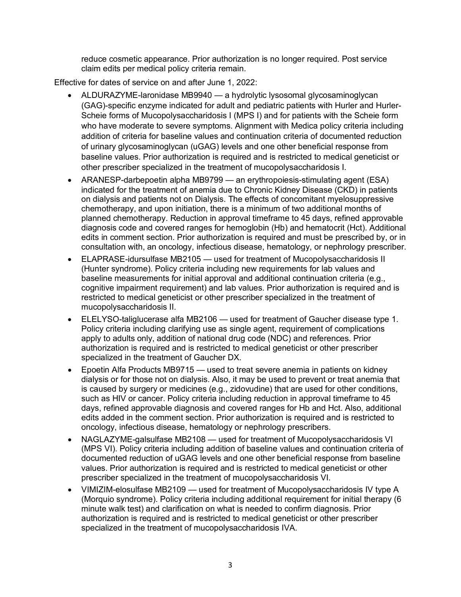reduce cosmetic appearance. Prior authorization is no longer required. Post service claim edits per medical policy criteria remain.

Effective for dates of service on and after June 1, 2022:

- ALDURAZYME-laronidase MB9940 a hydrolytic lysosomal glycosaminoglycan (GAG)-specific enzyme indicated for adult and pediatric patients with Hurler and Hurler-Scheie forms of Mucopolysaccharidosis I (MPS I) and for patients with the Scheie form who have moderate to severe symptoms. Alignment with Medica policy criteria including addition of criteria for baseline values and continuation criteria of documented reduction of urinary glycosaminoglycan (uGAG) levels and one other beneficial response from baseline values. Prior authorization is required and is restricted to medical geneticist or other prescriber specialized in the treatment of mucopolysaccharidosis I.
- ARANESP-darbepoetin alpha MB9799 an erythropoiesis-stimulating agent (ESA) indicated for the treatment of anemia due to Chronic Kidney Disease (CKD) in patients on dialysis and patients not on Dialysis. The effects of concomitant myelosuppressive chemotherapy, and upon initiation, there is a minimum of two additional months of planned chemotherapy. Reduction in approval timeframe to 45 days, refined approvable diagnosis code and covered ranges for hemoglobin (Hb) and hematocrit (Hct). Additional edits in comment section. Prior authorization is required and must be prescribed by, or in consultation with, an oncology, infectious disease, hematology, or nephrology prescriber.
- ELAPRASE-idursulfase MB2105 used for treatment of Mucopolysaccharidosis II (Hunter syndrome). Policy criteria including new requirements for lab values and baseline measurements for initial approval and additional continuation criteria (e.g., cognitive impairment requirement) and lab values. Prior authorization is required and is restricted to medical geneticist or other prescriber specialized in the treatment of mucopolysaccharidosis II.
- ELELYSO-taliglucerase alfa MB2106 used for treatment of Gaucher disease type 1. Policy criteria including clarifying use as single agent, requirement of complications apply to adults only, addition of national drug code (NDC) and references. Prior authorization is required and is restricted to medical geneticist or other prescriber specialized in the treatment of Gaucher DX.
- Epoetin Alfa Products MB9715 used to treat severe anemia in patients on kidney dialysis or for those not on dialysis. Also, it may be used to prevent or treat anemia that is caused by surgery or medicines (e.g., zidovudine) that are used for other conditions, such as HIV or cancer. Policy criteria including reduction in approval timeframe to 45 days, refined approvable diagnosis and covered ranges for Hb and Hct. Also, additional edits added in the comment section. Prior authorization is required and is restricted to oncology, infectious disease, hematology or nephrology prescribers.
- NAGLAZYME-galsulfase MB2108 used for treatment of Mucopolysaccharidosis VI (MPS VI). Policy criteria including addition of baseline values and continuation criteria of documented reduction of uGAG levels and one other beneficial response from baseline values. Prior authorization is required and is restricted to medical geneticist or other prescriber specialized in the treatment of mucopolysaccharidosis VI.
- VIMIZIM-elosulfase MB2109 used for treatment of Mucopolysaccharidosis IV type A (Morquio syndrome). Policy criteria including additional requirement for initial therapy (6 minute walk test) and clarification on what is needed to confirm diagnosis. Prior authorization is required and is restricted to medical geneticist or other prescriber specialized in the treatment of mucopolysaccharidosis IVA.